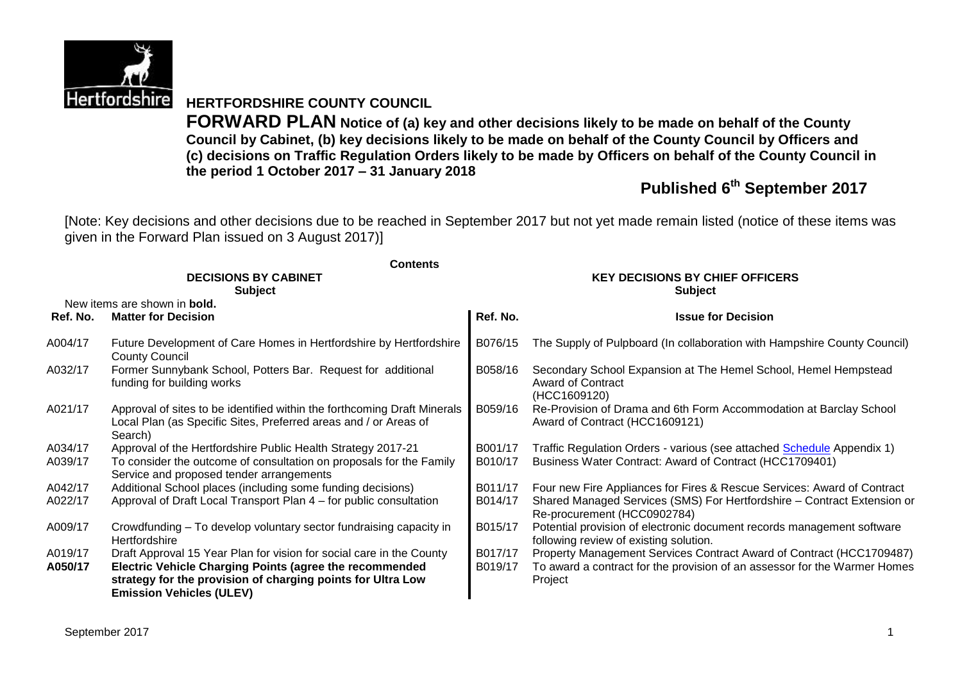

**HERTFORDSHIRE COUNTY COUNCIL**

**FORWARD PLAN Notice of (a) key and other decisions likely to be made on behalf of the County Council by Cabinet, (b) key decisions likely to be made on behalf of the County Council by Officers and (c) decisions on Traffic Regulation Orders likely to be made by Officers on behalf of the County Council in the period 1 October 2017 – 31 January 2018**

# **Published 6 th September 2017**

[Note: Key decisions and other decisions due to be reached in September 2017 but not yet made remain listed (notice of these items was given in the Forward Plan issued on 3 August 2017)]

|                    | <b>Contents</b>                                                                                                                                                                                                                   |                                                          |                                                                                                                                                              |  |  |  |
|--------------------|-----------------------------------------------------------------------------------------------------------------------------------------------------------------------------------------------------------------------------------|----------------------------------------------------------|--------------------------------------------------------------------------------------------------------------------------------------------------------------|--|--|--|
|                    | <b>DECISIONS BY CABINET</b><br><b>Subject</b>                                                                                                                                                                                     | <b>KEY DECISIONS BY CHIEF OFFICERS</b><br><b>Subject</b> |                                                                                                                                                              |  |  |  |
|                    | New items are shown in <b>bold.</b>                                                                                                                                                                                               |                                                          |                                                                                                                                                              |  |  |  |
| Ref. No.           | <b>Matter for Decision</b>                                                                                                                                                                                                        | Ref. No.                                                 | <b>Issue for Decision</b>                                                                                                                                    |  |  |  |
| A004/17            | Future Development of Care Homes in Hertfordshire by Hertfordshire<br><b>County Council</b>                                                                                                                                       | B076/15                                                  | The Supply of Pulpboard (In collaboration with Hampshire County Council)                                                                                     |  |  |  |
| A032/17            | Former Sunnybank School, Potters Bar. Request for additional<br>funding for building works                                                                                                                                        | B058/16                                                  | Secondary School Expansion at The Hemel School, Hemel Hempstead<br><b>Award of Contract</b><br>(HCC1609120)                                                  |  |  |  |
| A021/17            | Approval of sites to be identified within the forthcoming Draft Minerals<br>Local Plan (as Specific Sites, Preferred areas and / or Areas of<br>Search)                                                                           | B059/16                                                  | Re-Provision of Drama and 6th Form Accommodation at Barclay School<br>Award of Contract (HCC1609121)                                                         |  |  |  |
| A034/17            | Approval of the Hertfordshire Public Health Strategy 2017-21                                                                                                                                                                      | B001/17                                                  | Traffic Regulation Orders - various (see attached Schedule Appendix 1)                                                                                       |  |  |  |
| A039/17            | To consider the outcome of consultation on proposals for the Family<br>Service and proposed tender arrangements                                                                                                                   | B010/17                                                  | Business Water Contract: Award of Contract (HCC1709401)                                                                                                      |  |  |  |
| A042/17            | Additional School places (including some funding decisions)                                                                                                                                                                       | B011/17                                                  | Four new Fire Appliances for Fires & Rescue Services: Award of Contract                                                                                      |  |  |  |
| A022/17            | Approval of Draft Local Transport Plan 4 – for public consultation                                                                                                                                                                | B014/17                                                  | Shared Managed Services (SMS) For Hertfordshire - Contract Extension or<br>Re-procurement (HCC0902784)                                                       |  |  |  |
| A009/17            | Crowdfunding - To develop voluntary sector fundraising capacity in<br>Hertfordshire                                                                                                                                               | B015/17                                                  | Potential provision of electronic document records management software<br>following review of existing solution.                                             |  |  |  |
| A019/17<br>A050/17 | Draft Approval 15 Year Plan for vision for social care in the County<br>Electric Vehicle Charging Points (agree the recommended<br>strategy for the provision of charging points for Ultra Low<br><b>Emission Vehicles (ULEV)</b> | B017/17<br>B019/17                                       | Property Management Services Contract Award of Contract (HCC1709487)<br>To award a contract for the provision of an assessor for the Warmer Homes<br>Project |  |  |  |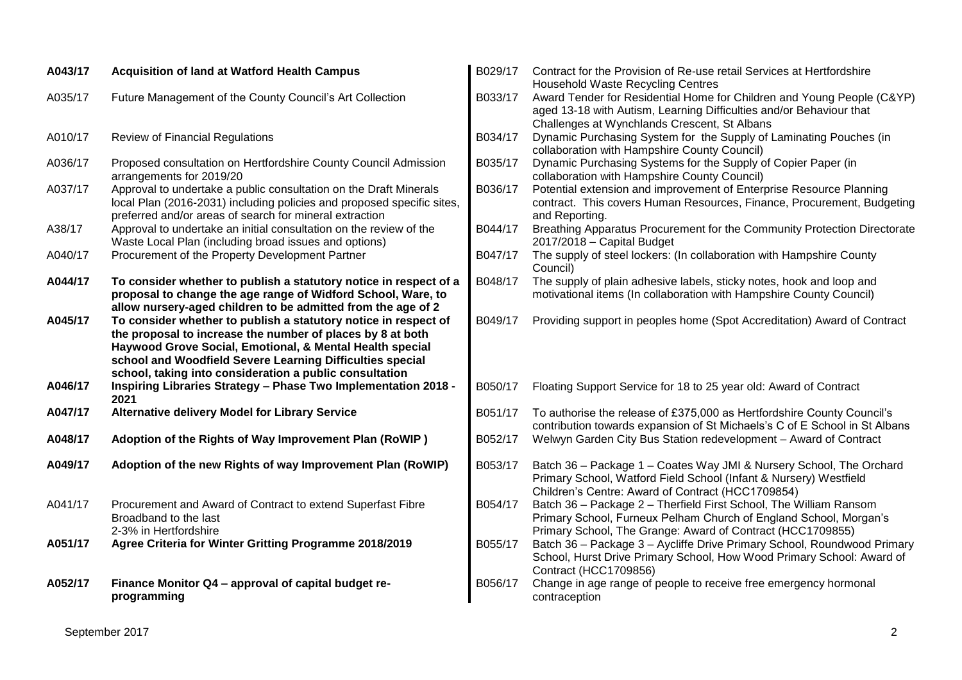| A043/17 | <b>Acquisition of land at Watford Health Campus</b>                                                                                                                                                                                                                                                               | B029/17 | Contract for the Provision of Re-use retail Services at Hertfordshire<br><b>Household Waste Recycling Centres</b>                                                                                    |
|---------|-------------------------------------------------------------------------------------------------------------------------------------------------------------------------------------------------------------------------------------------------------------------------------------------------------------------|---------|------------------------------------------------------------------------------------------------------------------------------------------------------------------------------------------------------|
| A035/17 | Future Management of the County Council's Art Collection                                                                                                                                                                                                                                                          | B033/17 | Award Tender for Residential Home for Children and Young People (C&YP)<br>aged 13-18 with Autism, Learning Difficulties and/or Behaviour that<br>Challenges at Wynchlands Crescent, St Albans        |
| A010/17 | <b>Review of Financial Regulations</b>                                                                                                                                                                                                                                                                            | B034/17 | Dynamic Purchasing System for the Supply of Laminating Pouches (in<br>collaboration with Hampshire County Council)                                                                                   |
| A036/17 | Proposed consultation on Hertfordshire County Council Admission<br>arrangements for 2019/20                                                                                                                                                                                                                       | B035/17 | Dynamic Purchasing Systems for the Supply of Copier Paper (in<br>collaboration with Hampshire County Council)                                                                                        |
| A037/17 | Approval to undertake a public consultation on the Draft Minerals<br>local Plan (2016-2031) including policies and proposed specific sites,<br>preferred and/or areas of search for mineral extraction                                                                                                            | B036/17 | Potential extension and improvement of Enterprise Resource Planning<br>contract. This covers Human Resources, Finance, Procurement, Budgeting<br>and Reporting.                                      |
| A38/17  | Approval to undertake an initial consultation on the review of the<br>Waste Local Plan (including broad issues and options)                                                                                                                                                                                       | B044/17 | Breathing Apparatus Procurement for the Community Protection Directorate<br>2017/2018 - Capital Budget                                                                                               |
| A040/17 | Procurement of the Property Development Partner                                                                                                                                                                                                                                                                   | B047/17 | The supply of steel lockers: (In collaboration with Hampshire County<br>Council)                                                                                                                     |
| A044/17 | To consider whether to publish a statutory notice in respect of a<br>proposal to change the age range of Widford School, Ware, to<br>allow nursery-aged children to be admitted from the age of 2                                                                                                                 | B048/17 | The supply of plain adhesive labels, sticky notes, hook and loop and<br>motivational items (In collaboration with Hampshire County Council)                                                          |
| A045/17 | To consider whether to publish a statutory notice in respect of<br>the proposal to increase the number of places by 8 at both<br>Haywood Grove Social, Emotional, & Mental Health special<br>school and Woodfield Severe Learning Difficulties special<br>school, taking into consideration a public consultation | B049/17 | Providing support in peoples home (Spot Accreditation) Award of Contract                                                                                                                             |
| A046/17 | Inspiring Libraries Strategy - Phase Two Implementation 2018 -<br>2021                                                                                                                                                                                                                                            | B050/17 | Floating Support Service for 18 to 25 year old: Award of Contract                                                                                                                                    |
| A047/17 | <b>Alternative delivery Model for Library Service</b>                                                                                                                                                                                                                                                             | B051/17 | To authorise the release of £375,000 as Hertfordshire County Council's<br>contribution towards expansion of St Michaels's C of E School in St Albans                                                 |
| A048/17 | Adoption of the Rights of Way Improvement Plan (RoWIP)                                                                                                                                                                                                                                                            | B052/17 | Welwyn Garden City Bus Station redevelopment - Award of Contract                                                                                                                                     |
| A049/17 | Adoption of the new Rights of way Improvement Plan (RoWIP)                                                                                                                                                                                                                                                        | B053/17 | Batch 36 - Package 1 - Coates Way JMI & Nursery School, The Orchard<br>Primary School, Watford Field School (Infant & Nursery) Westfield<br>Children's Centre: Award of Contract (HCC1709854)        |
| A041/17 | Procurement and Award of Contract to extend Superfast Fibre<br>Broadband to the last<br>2-3% in Hertfordshire                                                                                                                                                                                                     | B054/17 | Batch 36 - Package 2 - Therfield First School, The William Ransom<br>Primary School, Furneux Pelham Church of England School, Morgan's<br>Primary School, The Grange: Award of Contract (HCC1709855) |
| A051/17 | Agree Criteria for Winter Gritting Programme 2018/2019                                                                                                                                                                                                                                                            | B055/17 | Batch 36 - Package 3 - Aycliffe Drive Primary School, Roundwood Primary<br>School, Hurst Drive Primary School, How Wood Primary School: Award of<br><b>Contract (HCC1709856)</b>                     |
| A052/17 | Finance Monitor Q4 - approval of capital budget re-<br>programming                                                                                                                                                                                                                                                | B056/17 | Change in age range of people to receive free emergency hormonal<br>contraception                                                                                                                    |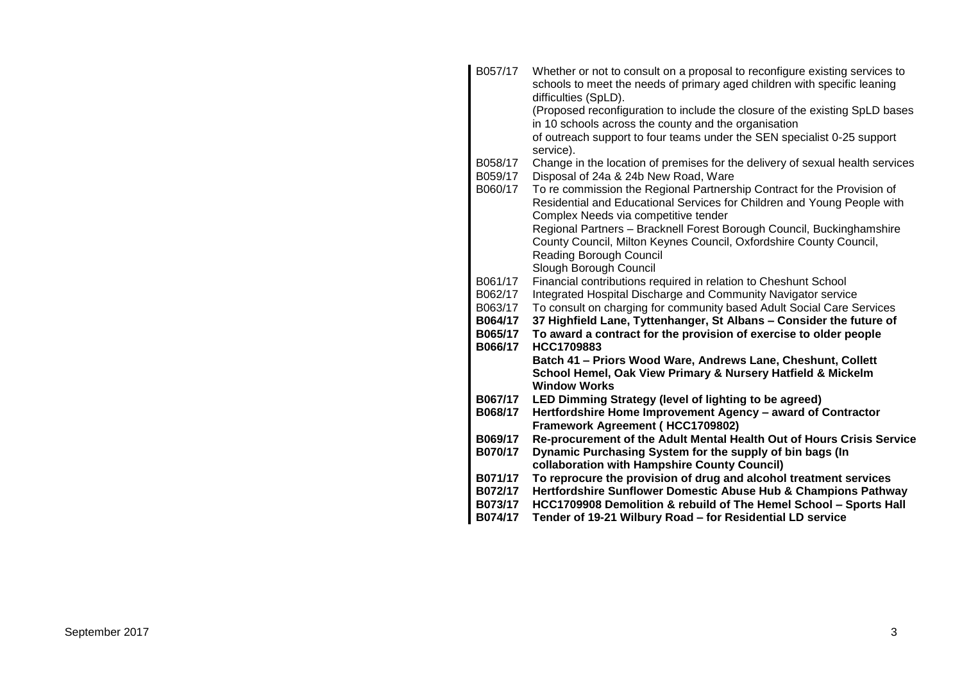| B057/17            | Whether or not to consult on a proposal to reconfigure existing services to<br>schools to meet the needs of primary aged children with specific leaning<br>difficulties (SpLD).            |
|--------------------|--------------------------------------------------------------------------------------------------------------------------------------------------------------------------------------------|
|                    | (Proposed reconfiguration to include the closure of the existing SpLD bases<br>in 10 schools across the county and the organisation                                                        |
|                    | of outreach support to four teams under the SEN specialist 0-25 support<br>service).                                                                                                       |
| B058/17<br>B059/17 | Change in the location of premises for the delivery of sexual health services<br>Disposal of 24a & 24b New Road, Ware                                                                      |
| B060/17            | To re commission the Regional Partnership Contract for the Provision of<br>Residential and Educational Services for Children and Young People with<br>Complex Needs via competitive tender |
|                    | Regional Partners - Bracknell Forest Borough Council, Buckinghamshire<br>County Council, Milton Keynes Council, Oxfordshire County Council,<br><b>Reading Borough Council</b>              |
|                    | Slough Borough Council                                                                                                                                                                     |
| B061/17            | Financial contributions required in relation to Cheshunt School                                                                                                                            |
| B062/17            | Integrated Hospital Discharge and Community Navigator service                                                                                                                              |
| B063/17<br>B064/17 | To consult on charging for community based Adult Social Care Services<br>37 Highfield Lane, Tyttenhanger, St Albans - Consider the future of                                               |
| B065/17<br>B066/17 | To award a contract for the provision of exercise to older people<br>HCC1709883                                                                                                            |
|                    | Batch 41 - Priors Wood Ware, Andrews Lane, Cheshunt, Collett<br>School Hemel, Oak View Primary & Nursery Hatfield & Mickelm<br><b>Window Works</b>                                         |
| B067/17            | LED Dimming Strategy (level of lighting to be agreed)                                                                                                                                      |
| B068/17            | Hertfordshire Home Improvement Agency - award of Contractor<br>Framework Agreement (HCC1709802)                                                                                            |
| B069/17            | Re-procurement of the Adult Mental Health Out of Hours Crisis Service                                                                                                                      |
| B070/17            | Dynamic Purchasing System for the supply of bin bags (In<br>collaboration with Hampshire County Council)                                                                                   |
| B071/17            | To reprocure the provision of drug and alcohol treatment services                                                                                                                          |
| B072/17            | Hertfordshire Sunflower Domestic Abuse Hub & Champions Pathway                                                                                                                             |
| B073/17            | HCC1709908 Demolition & rebuild of The Hemel School - Sports Hall                                                                                                                          |
| B074/17            | Tender of 19-21 Wilbury Road - for Residential LD service                                                                                                                                  |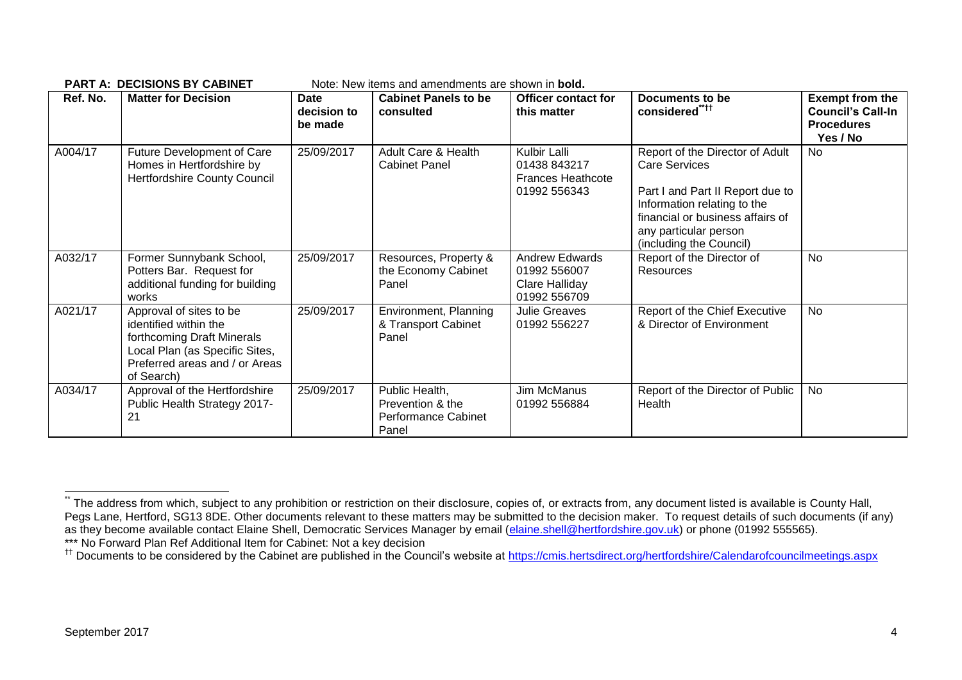| Ref. No. | <b>Matter for Decision</b>                                                                                                                                       | <b>Date</b><br>decision to<br>be made | <b>Cabinet Panels to be</b><br>consulted                           | <b>Officer contact for</b><br>this matter                                | Documents to be<br>considered****                                                                                                                                                                                  | <b>Exempt from the</b><br><b>Council's Call-In</b><br><b>Procedures</b><br>Yes / No |
|----------|------------------------------------------------------------------------------------------------------------------------------------------------------------------|---------------------------------------|--------------------------------------------------------------------|--------------------------------------------------------------------------|--------------------------------------------------------------------------------------------------------------------------------------------------------------------------------------------------------------------|-------------------------------------------------------------------------------------|
| A004/17  | <b>Future Development of Care</b><br>Homes in Hertfordshire by<br>Hertfordshire County Council                                                                   | 25/09/2017                            | Adult Care & Health<br><b>Cabinet Panel</b>                        | Kulbir Lalli<br>01438 843217<br><b>Frances Heathcote</b><br>01992 556343 | Report of the Director of Adult<br><b>Care Services</b><br>Part I and Part II Report due to<br>Information relating to the<br>financial or business affairs of<br>any particular person<br>(including the Council) | <b>No</b>                                                                           |
| A032/17  | Former Sunnybank School,<br>Potters Bar. Request for<br>additional funding for building<br>works                                                                 | 25/09/2017                            | Resources, Property &<br>the Economy Cabinet<br>Panel              | <b>Andrew Edwards</b><br>01992 556007<br>Clare Halliday<br>01992 556709  | Report of the Director of<br><b>Resources</b>                                                                                                                                                                      | <b>No</b>                                                                           |
| A021/17  | Approval of sites to be<br>identified within the<br>forthcoming Draft Minerals<br>Local Plan (as Specific Sites,<br>Preferred areas and / or Areas<br>of Search) | 25/09/2017                            | Environment, Planning<br>& Transport Cabinet<br>Panel              | <b>Julie Greaves</b><br>01992 556227                                     | Report of the Chief Executive<br>& Director of Environment                                                                                                                                                         | <b>No</b>                                                                           |
| A034/17  | Approval of the Hertfordshire<br>Public Health Strategy 2017-<br>21                                                                                              | 25/09/2017                            | Public Health,<br>Prevention & the<br>Performance Cabinet<br>Panel | Jim McManus<br>01992 556884                                              | Report of the Director of Public<br>Health                                                                                                                                                                         | <b>No</b>                                                                           |

**PART A: DECISIONS BY CARINET** Note: New items and amendments are shown in **bold** 

1

<sup>.&</sup>lt;br>The address from which, subject to any prohibition or restriction on their disclosure, copies of, or extracts from, any document listed is available is County Hall, Pegs Lane, Hertford, SG13 8DE. Other documents relevant to these matters may be submitted to the decision maker. To request details of such documents (if any) as they become available contact Elaine Shell, Democratic Services Manager by email [\(elaine.shell@hertfordshire.gov.uk\)](mailto:elaine.shell@hertfordshire.gov.uk) or phone (01992 555565). \*\*\* No Forward Plan Ref Additional Item for Cabinet: Not a key decision

<sup>&</sup>lt;sup>††</sup> Documents to be considered by the Cabinet are published in the Council's website at<https://cmis.hertsdirect.org/hertfordshire/Calendarofcouncilmeetings.aspx>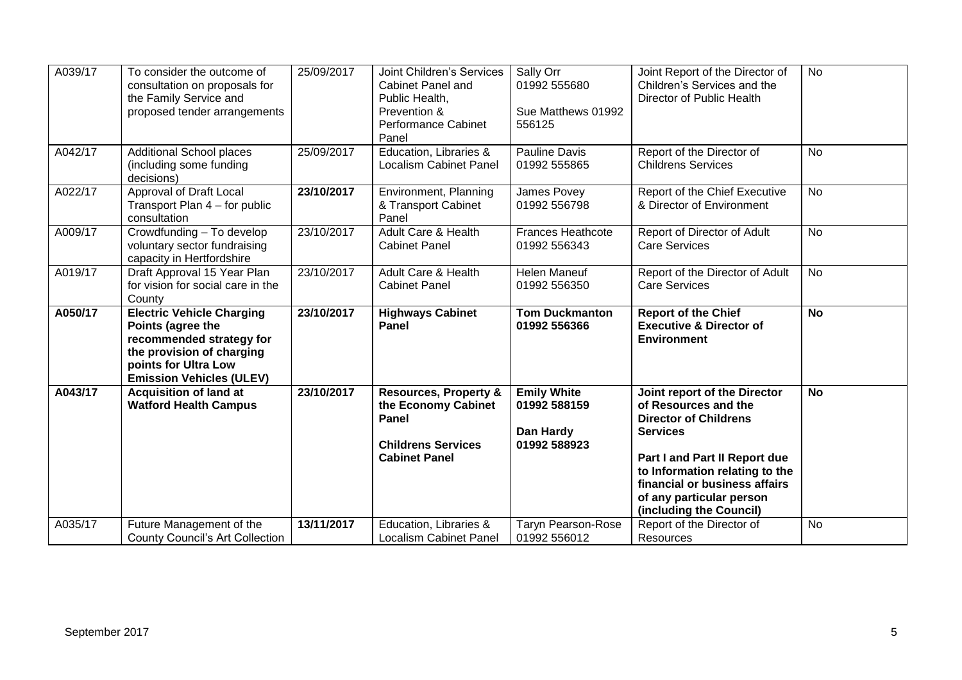| A039/17 | To consider the outcome of                                | 25/09/2017 | <b>Joint Children's Services</b>        | Sally Orr                                | Joint Report of the Director of                     | <b>No</b> |
|---------|-----------------------------------------------------------|------------|-----------------------------------------|------------------------------------------|-----------------------------------------------------|-----------|
|         | consultation on proposals for                             |            | Cabinet Panel and                       | 01992 555680                             | Children's Services and the                         |           |
|         | the Family Service and                                    |            | Public Health,                          |                                          | Director of Public Health                           |           |
|         | proposed tender arrangements                              |            | Prevention &                            | Sue Matthews 01992                       |                                                     |           |
|         |                                                           |            | <b>Performance Cabinet</b>              | 556125                                   |                                                     |           |
|         |                                                           |            | Panel                                   |                                          |                                                     |           |
| A042/17 | <b>Additional School places</b>                           | 25/09/2017 | Education, Libraries &                  | <b>Pauline Davis</b>                     | Report of the Director of                           | <b>No</b> |
|         | (including some funding                                   |            | <b>Localism Cabinet Panel</b>           | 01992 555865                             | <b>Childrens Services</b>                           |           |
|         | decisions)                                                |            |                                         |                                          |                                                     |           |
| A022/17 | Approval of Draft Local                                   | 23/10/2017 | Environment, Planning                   | James Povey                              | Report of the Chief Executive                       | <b>No</b> |
|         | Transport Plan 4 – for public                             |            | & Transport Cabinet                     | 01992 556798                             | & Director of Environment                           |           |
|         | consultation                                              |            | Panel<br><b>Adult Care &amp; Health</b> |                                          |                                                     |           |
| A009/17 | Crowdfunding - To develop                                 | 23/10/2017 | <b>Cabinet Panel</b>                    | <b>Frances Heathcote</b><br>01992 556343 | Report of Director of Adult<br><b>Care Services</b> | <b>No</b> |
|         | voluntary sector fundraising<br>capacity in Hertfordshire |            |                                         |                                          |                                                     |           |
| A019/17 | Draft Approval 15 Year Plan                               | 23/10/2017 | Adult Care & Health                     | <b>Helen Maneuf</b>                      | Report of the Director of Adult                     | <b>No</b> |
|         | for vision for social care in the                         |            | <b>Cabinet Panel</b>                    | 01992 556350                             | <b>Care Services</b>                                |           |
|         | County                                                    |            |                                         |                                          |                                                     |           |
| A050/17 | <b>Electric Vehicle Charging</b>                          | 23/10/2017 | <b>Highways Cabinet</b>                 | <b>Tom Duckmanton</b>                    | <b>Report of the Chief</b>                          | <b>No</b> |
|         | Points (agree the                                         |            | Panel                                   | 01992 556366                             | <b>Executive &amp; Director of</b>                  |           |
|         | recommended strategy for                                  |            |                                         |                                          | <b>Environment</b>                                  |           |
|         | the provision of charging                                 |            |                                         |                                          |                                                     |           |
|         | points for Ultra Low                                      |            |                                         |                                          |                                                     |           |
|         | <b>Emission Vehicles (ULEV)</b>                           |            |                                         |                                          |                                                     |           |
| A043/17 | <b>Acquisition of land at</b>                             | 23/10/2017 | <b>Resources, Property &amp;</b>        | <b>Emily White</b>                       | Joint report of the Director                        | <b>No</b> |
|         | <b>Watford Health Campus</b>                              |            | the Economy Cabinet                     | 01992 588159                             | of Resources and the                                |           |
|         |                                                           |            | Panel                                   |                                          | <b>Director of Childrens</b>                        |           |
|         |                                                           |            |                                         | Dan Hardy                                | <b>Services</b>                                     |           |
|         |                                                           |            | <b>Childrens Services</b>               | 01992 588923                             |                                                     |           |
|         |                                                           |            | <b>Cabinet Panel</b>                    |                                          | Part I and Part II Report due                       |           |
|         |                                                           |            |                                         |                                          | to Information relating to the                      |           |
|         |                                                           |            |                                         |                                          | financial or business affairs                       |           |
|         |                                                           |            |                                         |                                          | of any particular person                            |           |
|         |                                                           |            |                                         |                                          | (including the Council)                             |           |
| A035/17 | Future Management of the                                  | 13/11/2017 | Education, Libraries &                  | <b>Taryn Pearson-Rose</b>                | Report of the Director of                           | <b>No</b> |
|         | <b>County Council's Art Collection</b>                    |            | <b>Localism Cabinet Panel</b>           | 01992 556012                             | Resources                                           |           |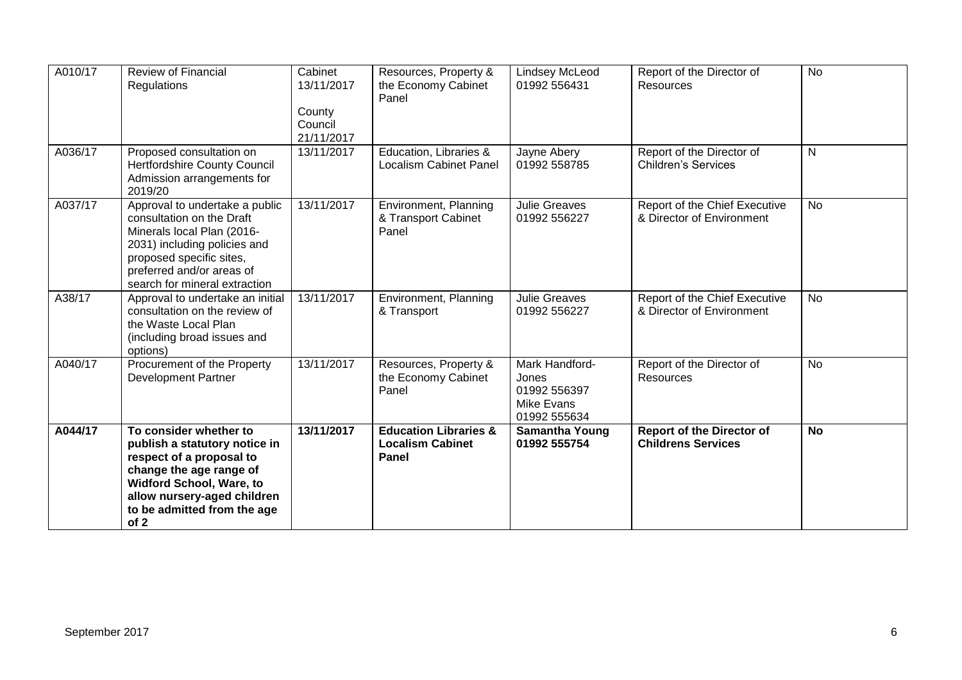| A010/17 | <b>Review of Financial</b><br>Regulations                                                                                                                                                                               | Cabinet<br>13/11/2017<br>County<br>Council<br>21/11/2017 | Resources, Property &<br>the Economy Cabinet<br>Panel                | <b>Lindsey McLeod</b><br>01992 556431                                        | Report of the Director of<br>Resources                        | <b>No</b>    |
|---------|-------------------------------------------------------------------------------------------------------------------------------------------------------------------------------------------------------------------------|----------------------------------------------------------|----------------------------------------------------------------------|------------------------------------------------------------------------------|---------------------------------------------------------------|--------------|
| A036/17 | Proposed consultation on<br>Hertfordshire County Council<br>Admission arrangements for<br>2019/20                                                                                                                       | 13/11/2017                                               | Education, Libraries &<br><b>Localism Cabinet Panel</b>              | Jayne Abery<br>01992 558785                                                  | Report of the Director of<br><b>Children's Services</b>       | $\mathsf{N}$ |
| A037/17 | Approval to undertake a public<br>consultation on the Draft<br>Minerals local Plan (2016-<br>2031) including policies and<br>proposed specific sites,<br>preferred and/or areas of<br>search for mineral extraction     | 13/11/2017                                               | Environment, Planning<br>& Transport Cabinet<br>Panel                | <b>Julie Greaves</b><br>01992 556227                                         | Report of the Chief Executive<br>& Director of Environment    | <b>No</b>    |
| A38/17  | Approval to undertake an initial<br>consultation on the review of<br>the Waste Local Plan<br>(including broad issues and<br>options)                                                                                    | 13/11/2017                                               | Environment, Planning<br>& Transport                                 | <b>Julie Greaves</b><br>01992 556227                                         | Report of the Chief Executive<br>& Director of Environment    | No           |
| A040/17 | Procurement of the Property<br><b>Development Partner</b>                                                                                                                                                               | 13/11/2017                                               | Resources, Property &<br>the Economy Cabinet<br>Panel                | Mark Handford-<br>Jones<br>01992 556397<br><b>Mike Evans</b><br>01992 555634 | Report of the Director of<br>Resources                        | No           |
| A044/17 | To consider whether to<br>publish a statutory notice in<br>respect of a proposal to<br>change the age range of<br><b>Widford School, Ware, to</b><br>allow nursery-aged children<br>to be admitted from the age<br>of 2 | 13/11/2017                                               | <b>Education Libraries &amp;</b><br><b>Localism Cabinet</b><br>Panel | <b>Samantha Young</b><br>01992 555754                                        | <b>Report of the Director of</b><br><b>Childrens Services</b> | <b>No</b>    |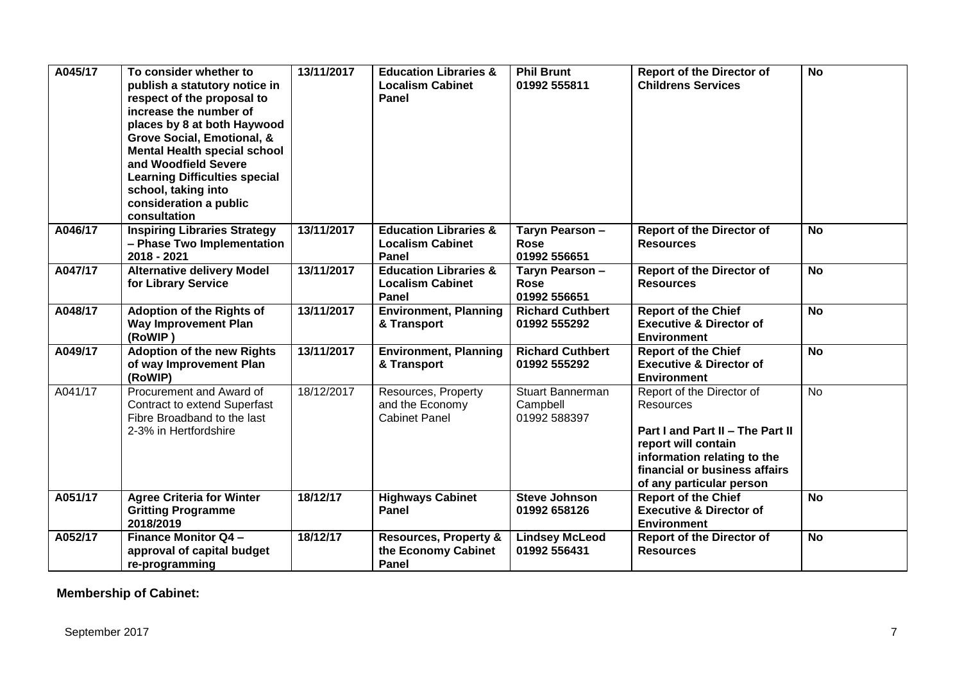| A045/17 | To consider whether to<br>publish a statutory notice in<br>respect of the proposal to<br>increase the number of<br>places by 8 at both Haywood<br>Grove Social, Emotional, &<br><b>Mental Health special school</b><br>and Woodfield Severe<br><b>Learning Difficulties special</b><br>school, taking into<br>consideration a public<br>consultation | 13/11/2017 | <b>Education Libraries &amp;</b><br><b>Localism Cabinet</b><br>Panel        | <b>Phil Brunt</b><br>01992 555811              | <b>Report of the Director of</b><br><b>Childrens Services</b>                                                                                                                                 | <b>No</b> |
|---------|------------------------------------------------------------------------------------------------------------------------------------------------------------------------------------------------------------------------------------------------------------------------------------------------------------------------------------------------------|------------|-----------------------------------------------------------------------------|------------------------------------------------|-----------------------------------------------------------------------------------------------------------------------------------------------------------------------------------------------|-----------|
| A046/17 | <b>Inspiring Libraries Strategy</b><br>- Phase Two Implementation<br>2018 - 2021                                                                                                                                                                                                                                                                     | 13/11/2017 | <b>Education Libraries &amp;</b><br><b>Localism Cabinet</b><br>Panel        | Taryn Pearson -<br><b>Rose</b><br>01992 556651 | <b>Report of the Director of</b><br><b>Resources</b>                                                                                                                                          | <b>No</b> |
| A047/17 | <b>Alternative delivery Model</b><br>for Library Service                                                                                                                                                                                                                                                                                             | 13/11/2017 | <b>Education Libraries &amp;</b><br><b>Localism Cabinet</b><br><b>Panel</b> | Taryn Pearson -<br><b>Rose</b><br>01992 556651 | <b>Report of the Director of</b><br><b>Resources</b>                                                                                                                                          | <b>No</b> |
| A048/17 | <b>Adoption of the Rights of</b><br><b>Way Improvement Plan</b><br>(RoWIP)                                                                                                                                                                                                                                                                           | 13/11/2017 | <b>Environment, Planning</b><br>& Transport                                 | <b>Richard Cuthbert</b><br>01992 555292        | <b>Report of the Chief</b><br><b>Executive &amp; Director of</b><br><b>Environment</b>                                                                                                        | <b>No</b> |
| A049/17 | <b>Adoption of the new Rights</b><br>of way Improvement Plan<br>(RoWIP)                                                                                                                                                                                                                                                                              | 13/11/2017 | <b>Environment, Planning</b><br>& Transport                                 | <b>Richard Cuthbert</b><br>01992 555292        | <b>Report of the Chief</b><br><b>Executive &amp; Director of</b><br><b>Environment</b>                                                                                                        | <b>No</b> |
| A041/17 | Procurement and Award of<br><b>Contract to extend Superfast</b><br>Fibre Broadband to the last<br>2-3% in Hertfordshire                                                                                                                                                                                                                              | 18/12/2017 | Resources, Property<br>and the Economy<br><b>Cabinet Panel</b>              | Stuart Bannerman<br>Campbell<br>01992 588397   | Report of the Director of<br>Resources<br>Part I and Part II - The Part II<br>report will contain<br>information relating to the<br>financial or business affairs<br>of any particular person | No        |
| A051/17 | <b>Agree Criteria for Winter</b><br><b>Gritting Programme</b><br>2018/2019                                                                                                                                                                                                                                                                           | 18/12/17   | <b>Highways Cabinet</b><br>Panel                                            | <b>Steve Johnson</b><br>01992 658126           | <b>Report of the Chief</b><br><b>Executive &amp; Director of</b><br><b>Environment</b>                                                                                                        | <b>No</b> |
| A052/17 | <b>Finance Monitor Q4-</b><br>approval of capital budget<br>re-programming                                                                                                                                                                                                                                                                           | 18/12/17   | <b>Resources, Property &amp;</b><br>the Economy Cabinet<br>Panel            | <b>Lindsey McLeod</b><br>01992 556431          | <b>Report of the Director of</b><br><b>Resources</b>                                                                                                                                          | <b>No</b> |

**Membership of Cabinet:**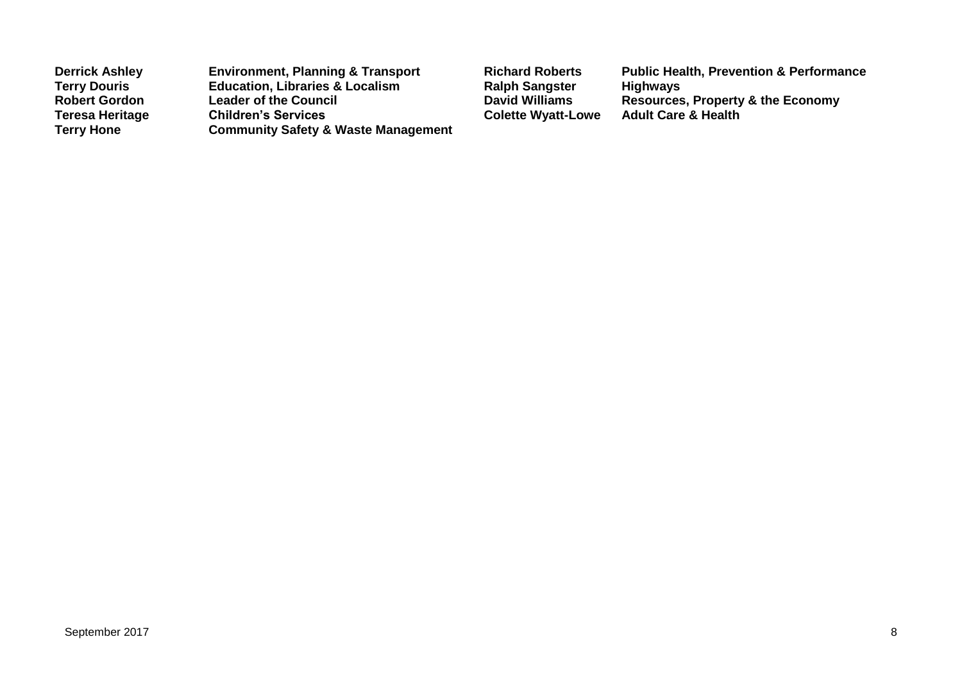| <b>Derrick Ashley</b>  | <b>Environment, Planning &amp; Transport</b>   |
|------------------------|------------------------------------------------|
| <b>Terry Douris</b>    | <b>Education, Libraries &amp; Localism</b>     |
| <b>Robert Gordon</b>   | <b>Leader of the Council</b>                   |
| <b>Teresa Heritage</b> | <b>Children's Services</b>                     |
| <b>Terry Hone</b>      | <b>Community Safety &amp; Waste Management</b> |

**Richard Roberts Public Health, Prevention & Performance<br>Ralph Sangster Highways Terry Double Bangster**<br> **Educations Resources, Property & the Economy<br>Adult Care & Health Colette Wyatt-Lowe**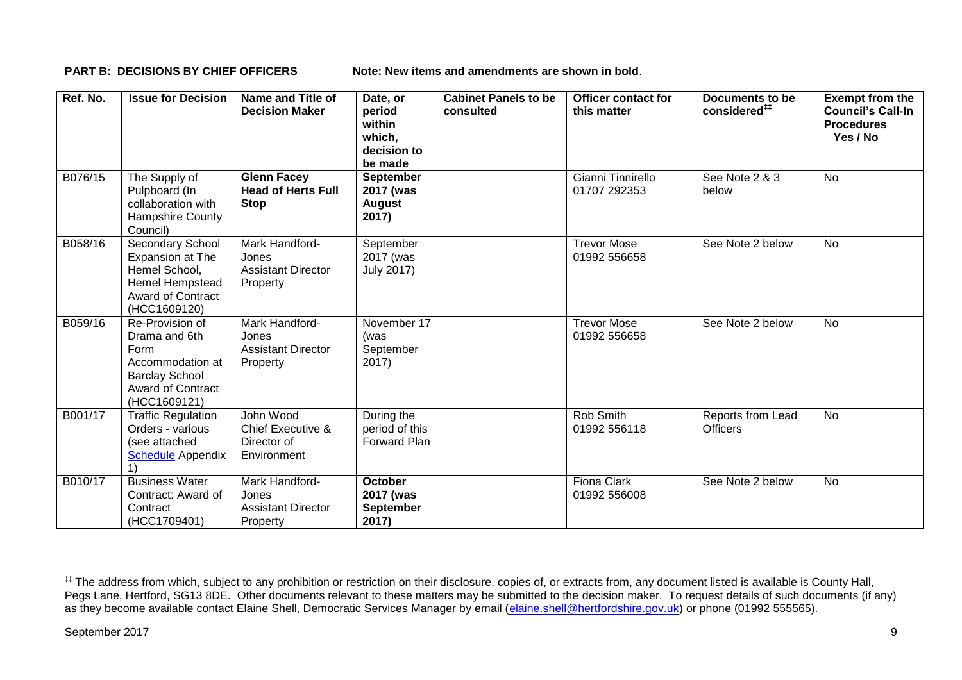**PART B: DECISIONS BY CHIEF OFFICERS Note: New items and amendments are shown in bold.** 

| Ref. No. | <b>Issue for Decision</b>                                                                                                         | Name and Title of<br><b>Decision Maker</b>                       | Date, or<br>period<br>within<br>which,<br>decision to<br>be made | <b>Cabinet Panels to be</b><br>consulted | <b>Officer contact for</b><br>this matter | Documents to be<br>considered <sup>##</sup> | <b>Exempt from the</b><br><b>Council's Call-In</b><br><b>Procedures</b><br>Yes / No |
|----------|-----------------------------------------------------------------------------------------------------------------------------------|------------------------------------------------------------------|------------------------------------------------------------------|------------------------------------------|-------------------------------------------|---------------------------------------------|-------------------------------------------------------------------------------------|
| B076/15  | The Supply of<br>Pulpboard (In<br>collaboration with<br><b>Hampshire County</b><br>Council)                                       | <b>Glenn Facey</b><br><b>Head of Herts Full</b><br><b>Stop</b>   | <b>September</b><br>2017 (was<br>August<br>2017)                 |                                          | Gianni Tinnirello<br>01707 292353         | See Note 2 & 3<br>below                     | <b>No</b>                                                                           |
| B058/16  | <b>Secondary School</b><br>Expansion at The<br>Hemel School,<br>Hemel Hempstead<br><b>Award of Contract</b><br>(HCC1609120)       | Mark Handford-<br>Jones<br><b>Assistant Director</b><br>Property | September<br>2017 (was<br><b>July 2017)</b>                      |                                          | <b>Trevor Mose</b><br>01992 556658        | See Note 2 below                            | <b>No</b>                                                                           |
| B059/16  | Re-Provision of<br>Drama and 6th<br>Form<br>Accommodation at<br><b>Barclay School</b><br><b>Award of Contract</b><br>(HCC1609121) | Mark Handford-<br>Jones<br><b>Assistant Director</b><br>Property | November 17<br>(was<br>September<br>2017)                        |                                          | <b>Trevor Mose</b><br>01992 556658        | See Note 2 below                            | <b>No</b>                                                                           |
| B001/17  | <b>Traffic Regulation</b><br>Orders - various<br>(see attached<br><b>Schedule Appendix</b>                                        | John Wood<br>Chief Executive &<br>Director of<br>Environment     | During the<br>period of this<br>Forward Plan                     |                                          | Rob Smith<br>01992 556118                 | Reports from Lead<br><b>Officers</b>        | No                                                                                  |
| B010/17  | <b>Business Water</b><br>Contract: Award of<br>Contract<br>(HCC1709401)                                                           | Mark Handford-<br>Jones<br><b>Assistant Director</b><br>Property | <b>October</b><br>2017 (was<br><b>September</b><br>2017)         |                                          | <b>Fiona Clark</b><br>01992 556008        | See Note 2 below                            | No                                                                                  |

1

<sup>‡‡</sup> The address from which, subject to any prohibition or restriction on their disclosure, copies of, or extracts from, any document listed is available is County Hall, Pegs Lane, Hertford, SG13 8DE. Other documents relevant to these matters may be submitted to the decision maker. To request details of such documents (if any) as they become available contact Elaine Shell, Democratic Services Manager by email [\(elaine.shell@hertfordshire.gov.uk\)](mailto:elaine.shell@hertfordshire.gov.uk) or phone (01992 555565).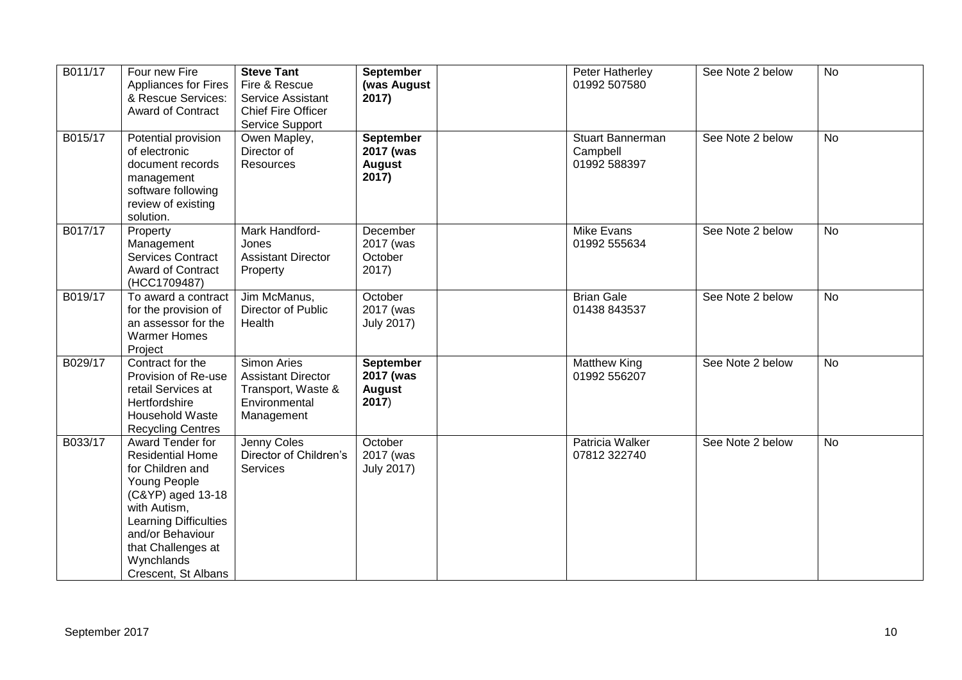| B011/17 | Four new Fire<br><b>Appliances for Fires</b><br>& Rescue Services:<br><b>Award of Contract</b>                                                                                                                                      | <b>Steve Tant</b><br>Fire & Rescue<br>Service Assistant<br><b>Chief Fire Officer</b><br>Service Support | <b>September</b><br>(was August<br>2017)                | Peter Hatherley<br>01992 507580                     | See Note 2 below | No        |
|---------|-------------------------------------------------------------------------------------------------------------------------------------------------------------------------------------------------------------------------------------|---------------------------------------------------------------------------------------------------------|---------------------------------------------------------|-----------------------------------------------------|------------------|-----------|
| B015/17 | Potential provision<br>of electronic<br>document records<br>management<br>software following<br>review of existing<br>solution.                                                                                                     | Owen Mapley,<br>Director of<br><b>Resources</b>                                                         | <b>September</b><br>2017 (was<br><b>August</b><br>2017) | <b>Stuart Bannerman</b><br>Campbell<br>01992 588397 | See Note 2 below | <b>No</b> |
| B017/17 | Property<br>Management<br><b>Services Contract</b><br><b>Award of Contract</b><br>(HCC1709487)                                                                                                                                      | Mark Handford-<br>Jones<br><b>Assistant Director</b><br>Property                                        | <b>December</b><br>2017 (was<br>October<br>2017)        | Mike Evans<br>01992 555634                          | See Note 2 below | <b>No</b> |
| B019/17 | To award a contract<br>for the provision of<br>an assessor for the<br><b>Warmer Homes</b><br>Project                                                                                                                                | Jim McManus,<br>Director of Public<br>Health                                                            | October<br>2017 (was<br><b>July 2017)</b>               | <b>Brian Gale</b><br>01438 843537                   | See Note 2 below | No        |
| B029/17 | Contract for the<br>Provision of Re-use<br>retail Services at<br>Hertfordshire<br>Household Waste<br><b>Recycling Centres</b>                                                                                                       | <b>Simon Aries</b><br><b>Assistant Director</b><br>Transport, Waste &<br>Environmental<br>Management    | <b>September</b><br>2017 (was<br><b>August</b><br>2017) | <b>Matthew King</b><br>01992 556207                 | See Note 2 below | <b>No</b> |
| B033/17 | Award Tender for<br><b>Residential Home</b><br>for Children and<br>Young People<br>(C&YP) aged 13-18<br>with Autism,<br><b>Learning Difficulties</b><br>and/or Behaviour<br>that Challenges at<br>Wynchlands<br>Crescent, St Albans | Jenny Coles<br>Director of Children's<br>Services                                                       | October<br>2017 (was<br><b>July 2017)</b>               | Patricia Walker<br>07812 322740                     | See Note 2 below | <b>No</b> |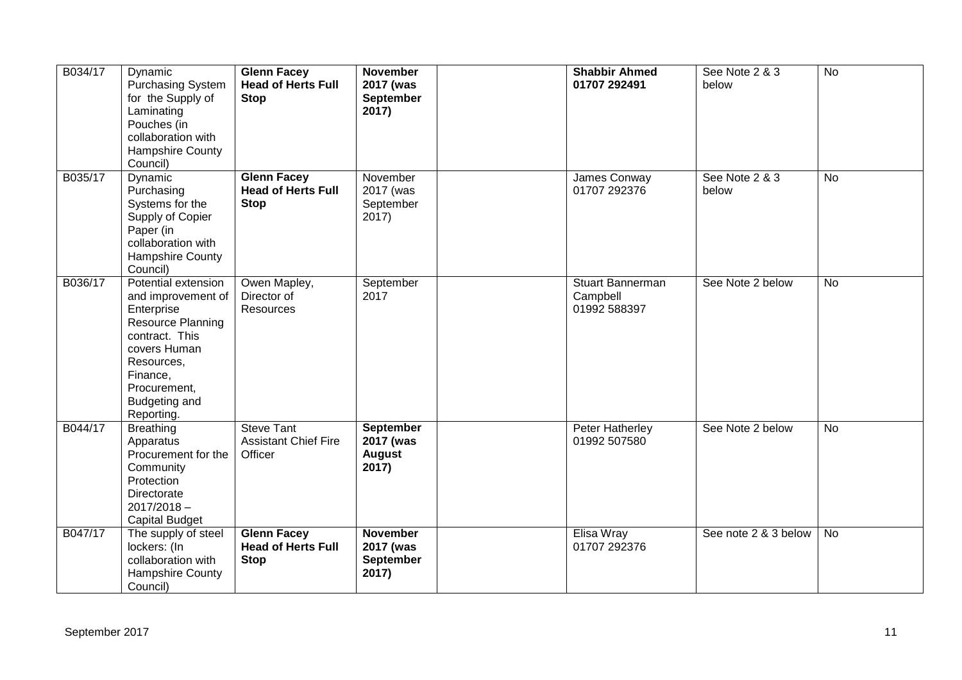| B034/17 | Dynamic<br><b>Purchasing System</b><br>for the Supply of<br>Laminating<br>Pouches (in<br>collaboration with<br>Hampshire County<br>Council)                                             | <b>Glenn Facey</b><br><b>Head of Herts Full</b><br><b>Stop</b> | <b>November</b><br>2017 (was<br>September<br>2017)      | <b>Shabbir Ahmed</b><br>01707 292491         | See Note 2 & 3<br>below | <b>No</b> |
|---------|-----------------------------------------------------------------------------------------------------------------------------------------------------------------------------------------|----------------------------------------------------------------|---------------------------------------------------------|----------------------------------------------|-------------------------|-----------|
| B035/17 | Dynamic<br>Purchasing<br>Systems for the<br>Supply of Copier<br>Paper (in<br>collaboration with<br>Hampshire County<br>Council)                                                         | <b>Glenn Facey</b><br><b>Head of Herts Full</b><br><b>Stop</b> | November<br>2017 (was<br>September<br>2017)             | James Conway<br>01707 292376                 | See Note 2 & 3<br>below | No        |
| B036/17 | Potential extension<br>and improvement of<br>Enterprise<br>Resource Planning<br>contract. This<br>covers Human<br>Resources,<br>Finance,<br>Procurement,<br>Budgeting and<br>Reporting. | Owen Mapley,<br>Director of<br>Resources                       | September<br>2017                                       | Stuart Bannerman<br>Campbell<br>01992 588397 | See Note 2 below        | No        |
| B044/17 | <b>Breathing</b><br>Apparatus<br>Procurement for the<br>Community<br>Protection<br>Directorate<br>$2017/2018 -$<br><b>Capital Budget</b>                                                | <b>Steve Tant</b><br><b>Assistant Chief Fire</b><br>Officer    | <b>September</b><br>2017 (was<br><b>August</b><br>2017) | Peter Hatherley<br>01992 507580              | See Note 2 below        | <b>No</b> |
| B047/17 | The supply of steel<br>lockers: (In<br>collaboration with<br>Hampshire County<br>Council)                                                                                               | <b>Glenn Facey</b><br><b>Head of Herts Full</b><br><b>Stop</b> | <b>November</b><br>2017 (was<br>September<br>2017)      | Elisa Wray<br>01707 292376                   | See note 2 & 3 below    | No        |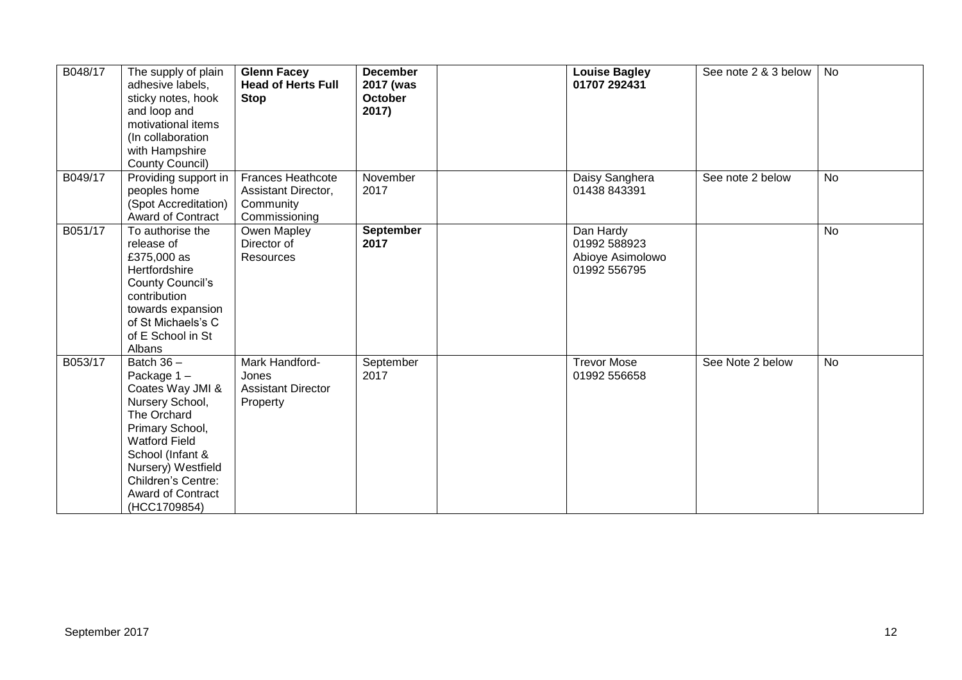| B048/17 | The supply of plain<br>adhesive labels,<br>sticky notes, hook<br>and loop and<br>motivational items<br>(In collaboration<br>with Hampshire<br>County Council)                                                                    | <b>Glenn Facey</b><br><b>Head of Herts Full</b><br><b>Stop</b>                | <b>December</b><br>2017 (was<br><b>October</b><br>2017) | <b>Louise Bagley</b><br>01707 292431                          | See note 2 & 3 below | No        |
|---------|----------------------------------------------------------------------------------------------------------------------------------------------------------------------------------------------------------------------------------|-------------------------------------------------------------------------------|---------------------------------------------------------|---------------------------------------------------------------|----------------------|-----------|
| B049/17 | Providing support in<br>peoples home<br>(Spot Accreditation)<br>Award of Contract                                                                                                                                                | <b>Frances Heathcote</b><br>Assistant Director,<br>Community<br>Commissioning | November<br>2017                                        | Daisy Sanghera<br>01438 843391                                | See note 2 below     | No        |
| B051/17 | To authorise the<br>release of<br>£375,000 as<br>Hertfordshire<br>County Council's<br>contribution<br>towards expansion<br>of St Michaels's C<br>of E School in St<br>Albans                                                     | Owen Mapley<br>Director of<br><b>Resources</b>                                | September<br>2017                                       | Dan Hardy<br>01992 588923<br>Abioye Asimolowo<br>01992 556795 |                      | <b>No</b> |
| B053/17 | Batch $36 -$<br>Package 1-<br>Coates Way JMI &<br>Nursery School,<br>The Orchard<br>Primary School,<br><b>Watford Field</b><br>School (Infant &<br>Nursery) Westfield<br>Children's Centre:<br>Award of Contract<br>(HCC1709854) | Mark Handford-<br>Jones<br><b>Assistant Director</b><br>Property              | September<br>2017                                       | <b>Trevor Mose</b><br>01992 556658                            | See Note 2 below     | <b>No</b> |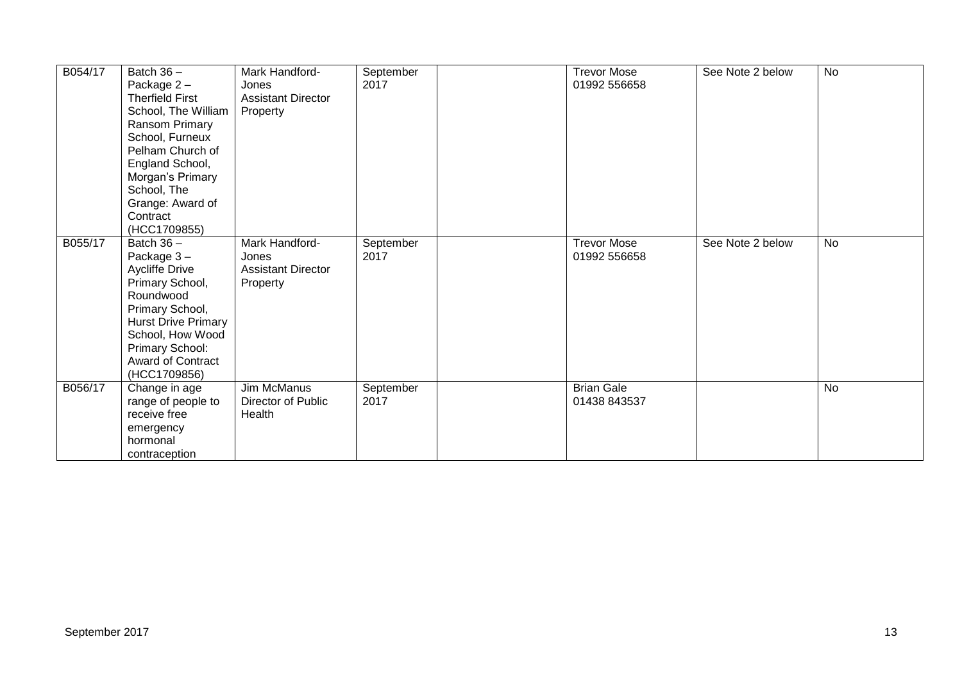| B054/17 | Batch $36 -$<br>Package 2-<br><b>Therfield First</b><br>School, The William<br>Ransom Primary<br>School, Furneux<br>Pelham Church of<br>England School,<br>Morgan's Primary<br>School, The<br>Grange: Award of<br>Contract<br>(HCC1709855) | Mark Handford-<br>Jones<br><b>Assistant Director</b><br>Property | September<br>2017 | <b>Trevor Mose</b><br>01992 556658 | See Note 2 below | No        |
|---------|--------------------------------------------------------------------------------------------------------------------------------------------------------------------------------------------------------------------------------------------|------------------------------------------------------------------|-------------------|------------------------------------|------------------|-----------|
| B055/17 | Batch $36 -$<br>Package 3-<br>Aycliffe Drive<br>Primary School,<br>Roundwood<br>Primary School,<br><b>Hurst Drive Primary</b><br>School, How Wood<br>Primary School:<br><b>Award of Contract</b><br>(HCC1709856)                           | Mark Handford-<br>Jones<br><b>Assistant Director</b><br>Property | September<br>2017 | <b>Trevor Mose</b><br>01992 556658 | See Note 2 below | <b>No</b> |
| B056/17 | Change in age<br>range of people to<br>receive free<br>emergency<br>hormonal<br>contraception                                                                                                                                              | Jim McManus<br>Director of Public<br>Health                      | September<br>2017 | <b>Brian Gale</b><br>01438 843537  |                  | <b>No</b> |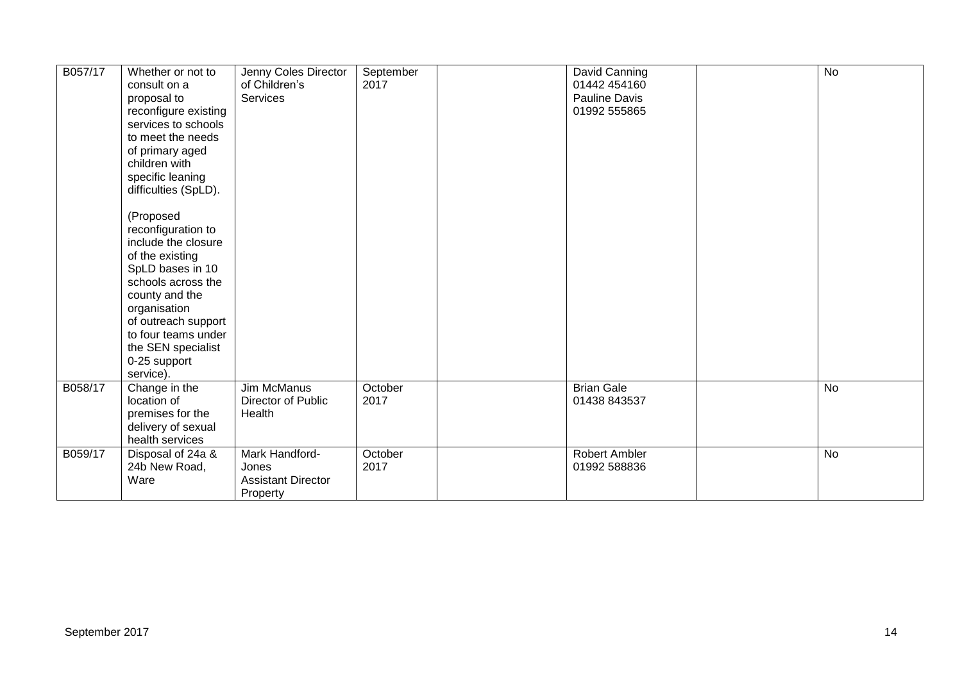| B057/17 | Whether or not to<br>consult on a<br>proposal to<br>reconfigure existing<br>services to schools<br>to meet the needs<br>of primary aged<br>children with<br>specific leaning<br>difficulties (SpLD).<br>(Proposed<br>reconfiguration to<br>include the closure<br>of the existing<br>SpLD bases in 10<br>schools across the<br>county and the<br>organisation<br>of outreach support<br>to four teams under<br>the SEN specialist<br>0-25 support | Jenny Coles Director<br>of Children's<br>Services                | September<br>2017 | David Canning<br>01442 454160<br>Pauline Davis<br>01992 555865 | $\overline{N}$ |
|---------|---------------------------------------------------------------------------------------------------------------------------------------------------------------------------------------------------------------------------------------------------------------------------------------------------------------------------------------------------------------------------------------------------------------------------------------------------|------------------------------------------------------------------|-------------------|----------------------------------------------------------------|----------------|
|         | service).                                                                                                                                                                                                                                                                                                                                                                                                                                         |                                                                  |                   |                                                                |                |
| B058/17 | Change in the<br>location of<br>premises for the<br>delivery of sexual<br>health services                                                                                                                                                                                                                                                                                                                                                         | Jim McManus<br>Director of Public<br>Health                      | October<br>2017   | <b>Brian Gale</b><br>01438 843537                              | No             |
| B059/17 | Disposal of 24a &<br>24b New Road,<br>Ware                                                                                                                                                                                                                                                                                                                                                                                                        | Mark Handford-<br>Jones<br><b>Assistant Director</b><br>Property | October<br>2017   | <b>Robert Ambler</b><br>01992 588836                           | No             |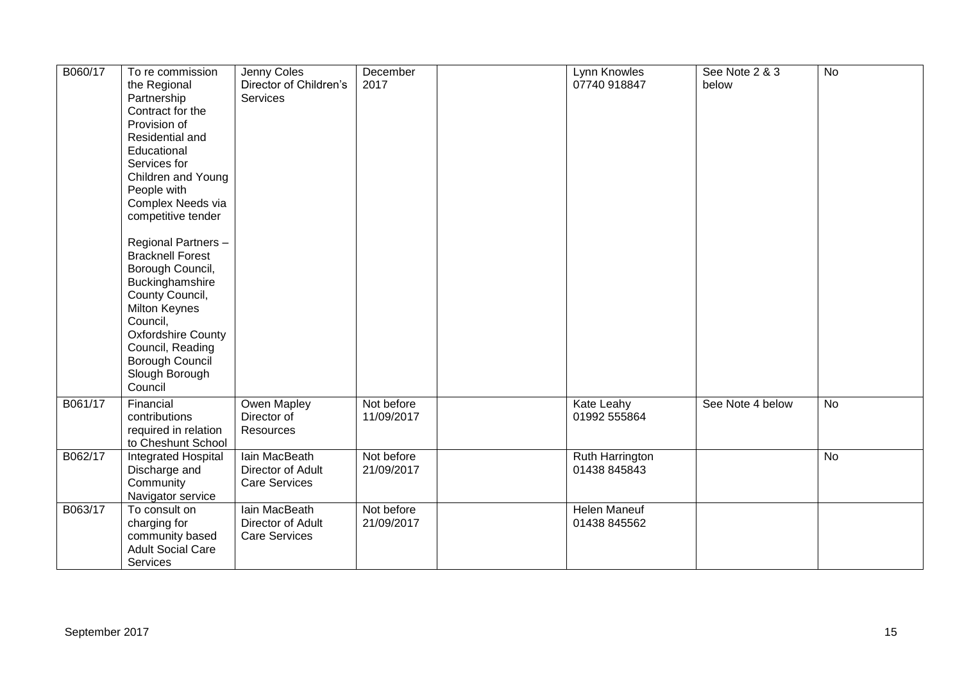| B060/17 | To re commission<br>the Regional<br>Partnership<br>Contract for the<br>Provision of<br>Residential and<br>Educational<br>Services for<br>Children and Young<br>People with<br>Complex Needs via<br>competitive tender<br>Regional Partners -<br><b>Bracknell Forest</b><br>Borough Council,<br>Buckinghamshire<br>County Council,<br>Milton Keynes<br>Council,<br>Oxfordshire County<br>Council, Reading | Jenny Coles<br>Director of Children's<br><b>Services</b>   | December<br>2017         | Lynn Knowles<br>07740 918847           | See Note 2 & 3<br>below | <b>No</b> |
|---------|----------------------------------------------------------------------------------------------------------------------------------------------------------------------------------------------------------------------------------------------------------------------------------------------------------------------------------------------------------------------------------------------------------|------------------------------------------------------------|--------------------------|----------------------------------------|-------------------------|-----------|
|         | Borough Council<br>Slough Borough<br>Council                                                                                                                                                                                                                                                                                                                                                             |                                                            |                          |                                        |                         |           |
| B061/17 | Financial<br>contributions<br>required in relation<br>to Cheshunt School                                                                                                                                                                                                                                                                                                                                 | Owen Mapley<br>Director of<br>Resources                    | Not before<br>11/09/2017 | Kate Leahy<br>01992 555864             | See Note 4 below        | No        |
| B062/17 | Integrated Hospital<br>Discharge and<br>Community<br>Navigator service                                                                                                                                                                                                                                                                                                                                   | lain MacBeath<br>Director of Adult<br><b>Care Services</b> | Not before<br>21/09/2017 | <b>Ruth Harrington</b><br>01438 845843 |                         | <b>No</b> |
| B063/17 | To consult on<br>charging for<br>community based<br><b>Adult Social Care</b><br>Services                                                                                                                                                                                                                                                                                                                 | lain MacBeath<br>Director of Adult<br><b>Care Services</b> | Not before<br>21/09/2017 | <b>Helen Maneuf</b><br>01438 845562    |                         |           |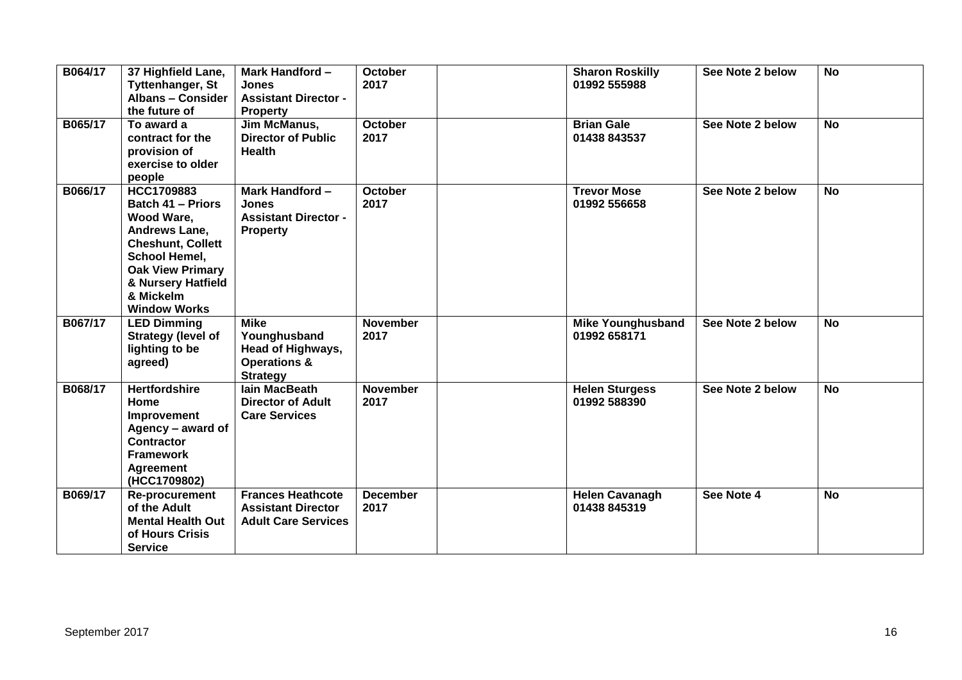| B064/17 | 37 Highfield Lane,<br><b>Tyttenhanger, St</b><br><b>Albans - Consider</b><br>the future of                                                                                                              | Mark Handford -<br><b>Jones</b><br><b>Assistant Director -</b><br><b>Property</b>              | <b>October</b><br>2017  | <b>Sharon Roskilly</b><br>01992 555988   | See Note 2 below | <b>No</b> |
|---------|---------------------------------------------------------------------------------------------------------------------------------------------------------------------------------------------------------|------------------------------------------------------------------------------------------------|-------------------------|------------------------------------------|------------------|-----------|
| B065/17 | To award a<br>contract for the<br>provision of<br>exercise to older<br>people                                                                                                                           | Jim McManus,<br><b>Director of Public</b><br><b>Health</b>                                     | <b>October</b><br>2017  | <b>Brian Gale</b><br>01438 843537        | See Note 2 below | <b>No</b> |
| B066/17 | HCC1709883<br><b>Batch 41 - Priors</b><br>Wood Ware,<br>Andrews Lane,<br><b>Cheshunt, Collett</b><br>School Hemel,<br><b>Oak View Primary</b><br>& Nursery Hatfield<br>& Mickelm<br><b>Window Works</b> | Mark Handford -<br><b>Jones</b><br><b>Assistant Director -</b><br><b>Property</b>              | <b>October</b><br>2017  | <b>Trevor Mose</b><br>01992 556658       | See Note 2 below | <b>No</b> |
| B067/17 | <b>LED Dimming</b><br><b>Strategy (level of</b><br>lighting to be<br>agreed)                                                                                                                            | <b>Mike</b><br>Younghusband<br>Head of Highways,<br><b>Operations &amp;</b><br><b>Strategy</b> | <b>November</b><br>2017 | <b>Mike Younghusband</b><br>01992 658171 | See Note 2 below | <b>No</b> |
| B068/17 | <b>Hertfordshire</b><br>Home<br>Improvement<br>Agency - award of<br><b>Contractor</b><br><b>Framework</b><br><b>Agreement</b><br>(HCC1709802)                                                           | lain MacBeath<br><b>Director of Adult</b><br><b>Care Services</b>                              | <b>November</b><br>2017 | <b>Helen Sturgess</b><br>01992 588390    | See Note 2 below | <b>No</b> |
| B069/17 | Re-procurement<br>of the Adult<br><b>Mental Health Out</b><br>of Hours Crisis<br><b>Service</b>                                                                                                         | <b>Frances Heathcote</b><br><b>Assistant Director</b><br><b>Adult Care Services</b>            | <b>December</b><br>2017 | <b>Helen Cavanagh</b><br>01438 845319    | See Note 4       | <b>No</b> |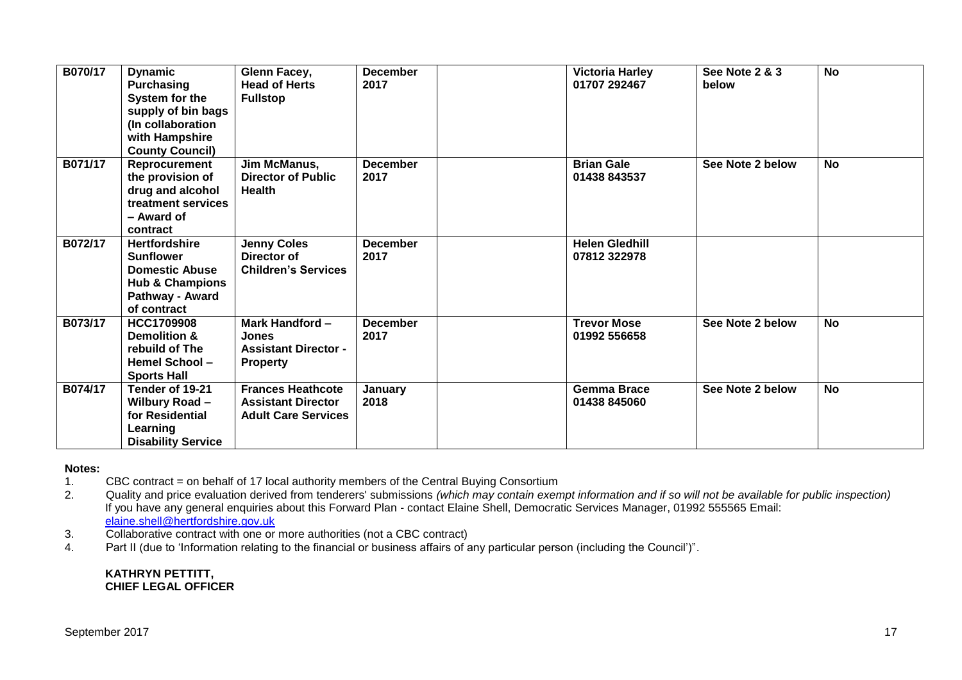| B070/17 |                                        |                                      | <b>December</b> |                                        | <b>See Note 2 &amp; 3</b> | <b>No</b> |
|---------|----------------------------------------|--------------------------------------|-----------------|----------------------------------------|---------------------------|-----------|
|         | <b>Dynamic</b>                         | Glenn Facey,<br><b>Head of Herts</b> | 2017            | <b>Victoria Harley</b><br>01707 292467 | below                     |           |
|         | <b>Purchasing</b>                      |                                      |                 |                                        |                           |           |
|         | System for the                         | <b>Fullstop</b>                      |                 |                                        |                           |           |
|         | supply of bin bags                     |                                      |                 |                                        |                           |           |
|         | (In collaboration                      |                                      |                 |                                        |                           |           |
|         | with Hampshire                         |                                      |                 |                                        |                           |           |
| B071/17 | <b>County Council)</b>                 |                                      |                 | <b>Brian Gale</b>                      | See Note 2 below          | <b>No</b> |
|         | Reprocurement                          | Jim McManus,                         | <b>December</b> |                                        |                           |           |
|         | the provision of                       | <b>Director of Public</b>            | 2017            | 01438 843537                           |                           |           |
|         | drug and alcohol<br>treatment services | <b>Health</b>                        |                 |                                        |                           |           |
|         | - Award of                             |                                      |                 |                                        |                           |           |
|         | contract                               |                                      |                 |                                        |                           |           |
| B072/17 | <b>Hertfordshire</b>                   | <b>Jenny Coles</b>                   | <b>December</b> | <b>Helen Gledhill</b>                  |                           |           |
|         | <b>Sunflower</b>                       | Director of                          | 2017            | 07812 322978                           |                           |           |
|         | <b>Domestic Abuse</b>                  | <b>Children's Services</b>           |                 |                                        |                           |           |
|         | <b>Hub &amp; Champions</b>             |                                      |                 |                                        |                           |           |
|         | Pathway - Award                        |                                      |                 |                                        |                           |           |
|         | of contract                            |                                      |                 |                                        |                           |           |
| B073/17 | <b>HCC1709908</b>                      | Mark Handford -                      | <b>December</b> | <b>Trevor Mose</b>                     | See Note 2 below          | <b>No</b> |
|         | Demolition &                           | <b>Jones</b>                         | 2017            | 01992 556658                           |                           |           |
|         | rebuild of The                         | <b>Assistant Director -</b>          |                 |                                        |                           |           |
|         | <b>Hemel School -</b>                  | <b>Property</b>                      |                 |                                        |                           |           |
|         | <b>Sports Hall</b>                     |                                      |                 |                                        |                           |           |
| B074/17 | Tender of 19-21                        | <b>Frances Heathcote</b>             | January         | <b>Gemma Brace</b>                     | See Note 2 below          | <b>No</b> |
|         | Wilbury Road -                         | <b>Assistant Director</b>            | 2018            | 01438 845060                           |                           |           |
|         | for Residential                        | <b>Adult Care Services</b>           |                 |                                        |                           |           |
|         | Learning                               |                                      |                 |                                        |                           |           |
|         | <b>Disability Service</b>              |                                      |                 |                                        |                           |           |

#### **Notes:**

- 1. CBC contract = on behalf of 17 local authority members of the Central Buying Consortium
- 2. Quality and price evaluation derived from tenderers' submissions *(which may contain exempt information and if so will not be available for public inspection)* If you have any general enquiries about this Forward Plan - contact Elaine Shell, Democratic Services Manager, 01992 555565 Email: [elaine.shell@hertfordshire.gov.uk](mailto:elaine.shell@hertfordshire.gov.uk)
- 3. Collaborative contract with one or more authorities (not a CBC contract)
- 4. Part II (due to 'Information relating to the financial or business affairs of any particular person (including the Council')".

#### **KATHRYN PETTITT, CHIEF LEGAL OFFICER**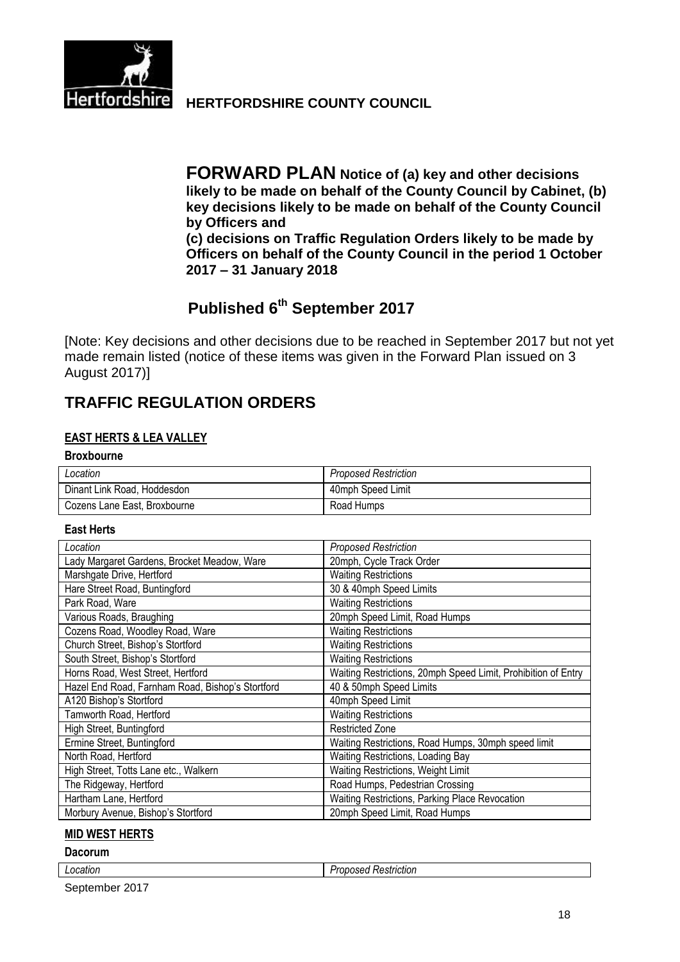

**Hertfordshire HERTFORDSHIRE COUNTY COUNCIL** 

**FORWARD PLAN Notice of (a) key and other decisions likely to be made on behalf of the County Council by Cabinet, (b) key decisions likely to be made on behalf of the County Council by Officers and (c) decisions on Traffic Regulation Orders likely to be made by Officers on behalf of the County Council in the period 1 October 2017 – 31 January 2018**

# **Published 6 th September 2017**

[Note: Key decisions and other decisions due to be reached in September 2017 but not yet made remain listed (notice of these items was given in the Forward Plan issued on 3 August 2017)]

# **TRAFFIC REGULATION ORDERS**

## **EAST HERTS & LEA VALLEY**

### **Broxbourne**

| Location                     | <b>Proposed Restriction</b> |
|------------------------------|-----------------------------|
| Dinant Link Road, Hoddesdon  | 40mph Speed Limit           |
| Cozens Lane East, Broxbourne | Road Humps                  |

#### **East Herts**

| Location                                         | <b>Proposed Restriction</b>                                   |
|--------------------------------------------------|---------------------------------------------------------------|
| Lady Margaret Gardens, Brocket Meadow, Ware      | 20mph, Cycle Track Order                                      |
| Marshgate Drive, Hertford                        | <b>Waiting Restrictions</b>                                   |
| Hare Street Road, Buntingford                    | 30 & 40mph Speed Limits                                       |
| Park Road, Ware                                  | <b>Waiting Restrictions</b>                                   |
| Various Roads, Braughing                         | 20mph Speed Limit, Road Humps                                 |
| Cozens Road, Woodley Road, Ware                  | <b>Waiting Restrictions</b>                                   |
| Church Street, Bishop's Stortford                | <b>Waiting Restrictions</b>                                   |
| South Street, Bishop's Stortford                 | <b>Waiting Restrictions</b>                                   |
| Horns Road, West Street, Hertford                | Waiting Restrictions, 20mph Speed Limit, Prohibition of Entry |
| Hazel End Road, Farnham Road, Bishop's Stortford | 40 & 50mph Speed Limits                                       |
| A120 Bishop's Stortford                          | 40mph Speed Limit                                             |
| Tamworth Road, Hertford                          | <b>Waiting Restrictions</b>                                   |
| High Street, Buntingford                         | <b>Restricted Zone</b>                                        |
| Ermine Street, Buntingford                       | Waiting Restrictions, Road Humps, 30mph speed limit           |
| North Road, Hertford                             | Waiting Restrictions, Loading Bay                             |
| High Street, Totts Lane etc., Walkern            | Waiting Restrictions, Weight Limit                            |
| The Ridgeway, Hertford                           | Road Humps, Pedestrian Crossing                               |
| Hartham Lane, Hertford                           | Waiting Restrictions, Parking Place Revocation                |
| Morbury Avenue, Bishop's Stortford               | 20mph Speed Limit, Road Humps                                 |

### **MID WEST HERTS**

#### **Dacorum**

| LOCAtion | .<br>≺estriction<br>ומיינ |
|----------|---------------------------|
|          |                           |

September 2017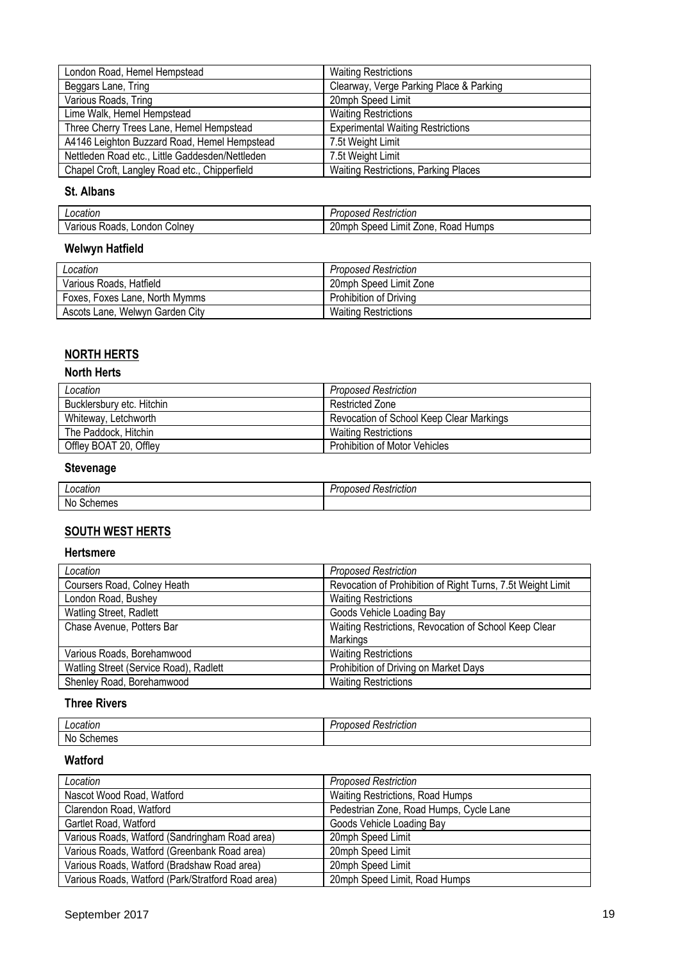| London Road, Hemel Hempstead                    | <b>Waiting Restrictions</b>                 |
|-------------------------------------------------|---------------------------------------------|
| Beggars Lane, Tring                             | Clearway, Verge Parking Place & Parking     |
| Various Roads, Tring                            | 20mph Speed Limit                           |
| Lime Walk, Hemel Hempstead                      | <b>Waiting Restrictions</b>                 |
| Three Cherry Trees Lane, Hemel Hempstead        | <b>Experimental Waiting Restrictions</b>    |
| A4146 Leighton Buzzard Road, Hemel Hempstead    | 7.5t Weight Limit                           |
| Nettleden Road etc., Little Gaddesden/Nettleden | 7.5t Weight Limit                           |
| Chapel Croft, Langley Road etc., Chipperfield   | <b>Waiting Restrictions, Parking Places</b> |

#### **St. Albans**

| a neation<br>ниот                 | $\cdot$<br>striction<br>,,,,<br>- 88<br>$\mathbf{r}$<br>וכס.<br>'Ju |
|-----------------------------------|---------------------------------------------------------------------|
| ondon<br>oads:<br>∴olnev<br>10113 | $\sim$<br>.ımıt<br>one<br><b>Humps</b><br>∠0mpn<br>ineec<br>koa     |

# **Welwyn Hatfield**

| Location                        | Proposed Restriction        |
|---------------------------------|-----------------------------|
| Various Roads, Hatfield         | 20mph Speed Limit Zone      |
| Foxes, Foxes Lane, North Mymms  | Prohibition of Driving      |
| Ascots Lane, Welwyn Garden City | <b>Waiting Restrictions</b> |

# **NORTH HERTS**

# **North Herts**

| Location                  | <b>Proposed Restriction</b>              |
|---------------------------|------------------------------------------|
| Bucklersbury etc. Hitchin | Restricted Zone                          |
| Whiteway, Letchworth      | Revocation of School Keep Clear Markings |
| The Paddock, Hitchin      | <b>Waiting Restrictions</b>              |
| Offley BOAT 20, Offley    | <b>Prohibition of Motor Vehicles</b>     |

# **Stevenage**

| ocation   | -<br>Restriction<br>ふぜい |
|-----------|-------------------------|
| No<br>nes |                         |

# **SOUTH WEST HERTS**

#### **Hertsmere**

| Location                               | <b>Proposed Restriction</b>                                 |
|----------------------------------------|-------------------------------------------------------------|
| Coursers Road, Colney Heath            | Revocation of Prohibition of Right Turns, 7.5t Weight Limit |
| London Road, Bushey                    | <b>Waiting Restrictions</b>                                 |
| Watling Street, Radlett                | Goods Vehicle Loading Bay                                   |
| Chase Avenue, Potters Bar              | Waiting Restrictions, Revocation of School Keep Clear       |
|                                        | Markings                                                    |
| Various Roads, Borehamwood             | <b>Waiting Restrictions</b>                                 |
| Watling Street (Service Road), Radlett | Prohibition of Driving on Market Days                       |
| Shenley Road, Borehamwood              | <b>Waiting Restrictions</b>                                 |

## **Three Rivers**

| Location                   | <br>striction<br>.<br>$\sim$ 16.22<br>10OU<br><b>JAGU</b> |
|----------------------------|-----------------------------------------------------------|
| <b>No</b><br>Scher<br>11U. |                                                           |

## **Watford**

| Location                                          | <b>Proposed Restriction</b>             |
|---------------------------------------------------|-----------------------------------------|
| Nascot Wood Road, Watford                         | Waiting Restrictions, Road Humps        |
| Clarendon Road, Watford                           | Pedestrian Zone, Road Humps, Cycle Lane |
| Gartlet Road, Watford                             | Goods Vehicle Loading Bay               |
| Various Roads, Watford (Sandringham Road area)    | 20mph Speed Limit                       |
| Various Roads, Watford (Greenbank Road area)      | 20mph Speed Limit                       |
| Various Roads, Watford (Bradshaw Road area)       | 20mph Speed Limit                       |
| Various Roads, Watford (Park/Stratford Road area) | 20mph Speed Limit, Road Humps           |